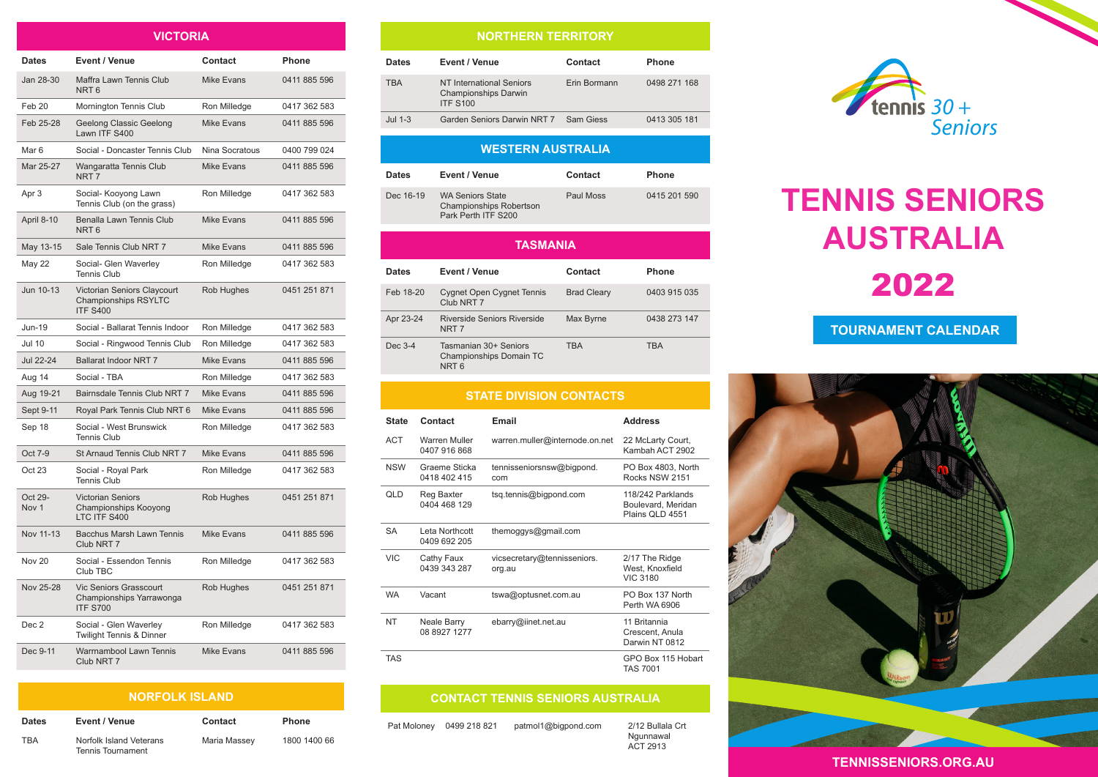| VICTORIA                    |                                                                               |                   |              |
|-----------------------------|-------------------------------------------------------------------------------|-------------------|--------------|
| <b>Dates</b>                | Event / Venue                                                                 | Contact           | Phone        |
| Jan 28-30                   | Maffra Lawn Tennis Club<br>NRT <sub>6</sub>                                   | <b>Mike Evans</b> | 0411 885 596 |
| Feb <sub>20</sub>           | Mornington Tennis Club                                                        | Ron Milledge      | 0417 362 583 |
| Feb 25-28                   | Geelong Classic Geelong<br>Lawn ITF S400                                      | <b>Mike Evans</b> | 0411 885 596 |
| Mar <sub>6</sub>            | Social - Doncaster Tennis Club                                                | Nina Socratous    | 0400 799 024 |
| Mar 25-27                   | Wangaratta Tennis Club<br>NRT <sub>7</sub>                                    | <b>Mike Evans</b> | 0411 885 596 |
| Apr 3                       | Social- Kooyong Lawn<br>Tennis Club (on the grass)                            | Ron Milledge      | 0417 362 583 |
| April 8-10                  | Benalla Lawn Tennis Club<br>NRT <sub>6</sub>                                  | <b>Mike Evans</b> | 0411 885 596 |
| May 13-15                   | Sale Tennis Club NRT 7                                                        | <b>Mike Evans</b> | 0411 885 596 |
| <b>May 22</b>               | Social- Glen Waverley<br><b>Tennis Club</b>                                   | Ron Milledge      | 0417 362 583 |
| Jun 10-13                   | Victorian Seniors Claycourt<br><b>Championships RSYLTC</b><br><b>ITF S400</b> | Rob Hughes        | 0451 251 871 |
| <b>Jun-19</b>               | Social - Ballarat Tennis Indoor                                               | Ron Milledge      | 0417 362 583 |
| <b>Jul 10</b>               | Social - Ringwood Tennis Club                                                 | Ron Milledge      | 0417 362 583 |
| Jul 22-24                   | <b>Ballarat Indoor NRT 7</b>                                                  | <b>Mike Evans</b> | 0411 885 596 |
| Aug 14                      | Social - TBA                                                                  | Ron Milledge      | 0417 362 583 |
| Aug 19-21                   | Bairnsdale Tennis Club NRT 7                                                  | <b>Mike Evans</b> | 0411 885 596 |
| Sept 9-11                   | Royal Park Tennis Club NRT 6                                                  | <b>Mike Evans</b> | 0411 885 596 |
| Sep 18                      | Social - West Brunswick<br><b>Tennis Club</b>                                 | Ron Milledge      | 0417 362 583 |
| Oct 7-9                     | St Arnaud Tennis Club NRT 7                                                   | <b>Mike Evans</b> | 0411 885 596 |
| Oct 23                      | Social - Royal Park<br><b>Tennis Club</b>                                     | Ron Milledge      | 0417 362 583 |
| Oct 29-<br>Nov <sub>1</sub> | <b>Victorian Seniors</b><br>Championships Kooyong<br>LTC ITF S400             | Rob Hughes        | 0451 251 871 |
| Nov 11-13                   | Bacchus Marsh Lawn Tennis<br>Club NRT 7                                       | Mike Evans        | 0411 885 596 |
| <b>Nov 20</b>               | Social - Essendon Tennis<br>Club TBC                                          | Ron Milledge      | 0417 362 583 |
| Nov 25-28                   | <b>Vic Seniors Grasscourt</b><br>Championships Yarrawonga<br><b>ITF S700</b>  | Rob Hughes        | 0451 251 871 |
| Dec 2                       | Social - Glen Waverley<br>Twilight Tennis & Dinner                            | Ron Milledge      | 0417 362 583 |
| Dec 9-11                    | Warrnambool Lawn Tennis<br>Club NRT 7                                         | Mike Evans        | 0411 885 596 |
|                             |                                                                               |                   |              |

#### **NORFOLK ISLAND**

| <b>Dates</b> | Event / Venue                                       | Contact      | <b>Phone</b> |
|--------------|-----------------------------------------------------|--------------|--------------|
| TRA          | Norfolk Island Veterans<br><b>Tennis Tournament</b> | Maria Massey | 1800 1400 66 |

## **NORTHERN TERRITORY**

| Dates      | Event / Venue                                                              | Contact      | <b>Phone</b> |
|------------|----------------------------------------------------------------------------|--------------|--------------|
| <b>TBA</b> | NT International Seniors<br><b>Championships Darwin</b><br><b>ITF S100</b> | Erin Bormann | 0498 271 168 |
| Jul 1-3    | Garden Seniors Darwin NRT 7                                                | Sam Giess    | 0413 305 181 |

## **WESTERN AUSTRALIA**

| <b>Dates</b>    | Event / Venue                                                                    | Contact   | <b>Phone</b> |  |
|-----------------|----------------------------------------------------------------------------------|-----------|--------------|--|
| Dec 16-19       | <b>WA Seniors State</b><br><b>Championships Robertson</b><br>Park Perth ITF S200 | Paul Moss | 0415 201 590 |  |
| <b>TASMANIA</b> |                                                                                  |           |              |  |

| <b>Dates</b> | Event / Venue                                                        | Contact            | <b>Phone</b> |
|--------------|----------------------------------------------------------------------|--------------------|--------------|
| Feb 18-20    | <b>Cygnet Open Cygnet Tennis</b><br>Club NRT 7                       | <b>Brad Cleary</b> | 0403 915 035 |
| Apr 23-24    | Riverside Seniors Riverside<br>NRT <sub>7</sub>                      | Max Byrne          | 0438 273 147 |
| Dec 3-4      | Tasmanian 30+ Seniors<br>Championships Domain TC<br>NRT <sub>6</sub> | <b>TBA</b>         | <b>TBA</b>   |

# **STATE DIVISION CONTACTS**

| <b>State</b> | Contact                        | Email                                 | <b>Address</b>                                             |
|--------------|--------------------------------|---------------------------------------|------------------------------------------------------------|
| <b>ACT</b>   | Warren Muller<br>0407 916 868  | warren.muller@internode.on.net        | 22 McLarty Court,<br>Kambah ACT 2902                       |
| <b>NSW</b>   | Graeme Sticka<br>0418 402 415  | tennisseniorsnsw@bigpond.<br>com      | PO Box 4803, North<br>Rocks NSW 2151                       |
| QLD          | Reg Baxter<br>0404 468 129     | tsq.tennis@bigpond.com                | 118/242 Parklands<br>Boulevard, Meridan<br>Plains QLD 4551 |
| <b>SA</b>    | Leta Northcott<br>0409 692 205 | themoggys@gmail.com                   |                                                            |
| <b>VIC</b>   | Cathy Faux<br>0439 343 287     | vicsecretary@tennisseniors.<br>org.au | 2/17 The Ridge<br>West, Knoxfield<br><b>VIC 3180</b>       |
| <b>WA</b>    | Vacant                         | tswa@optusnet.com.au                  | PO Box 137 North<br>Perth WA 6906                          |
| <b>NT</b>    | Neale Barry<br>08 8927 1277    | ebarry@iinet.net.au                   | 11 Britannia<br>Crescent, Anula<br>Darwin NT 0812          |
| TAS          |                                |                                       | GPO Box 115 Hobart<br><b>TAS 7001</b>                      |

#### **CONTACT TENNIS SENIORS AUSTRALIA**

Ngunnawal ACT 2913

Pat Moloney 0499 218 821 patmol1@bigpond.com 2/12 Bullala Crt



# **TENNIS SENIORS AUSTRALIA** 2022

# **TOURNAMENT CALENDAR**



### **TENNISSENIORS.ORG.AU**